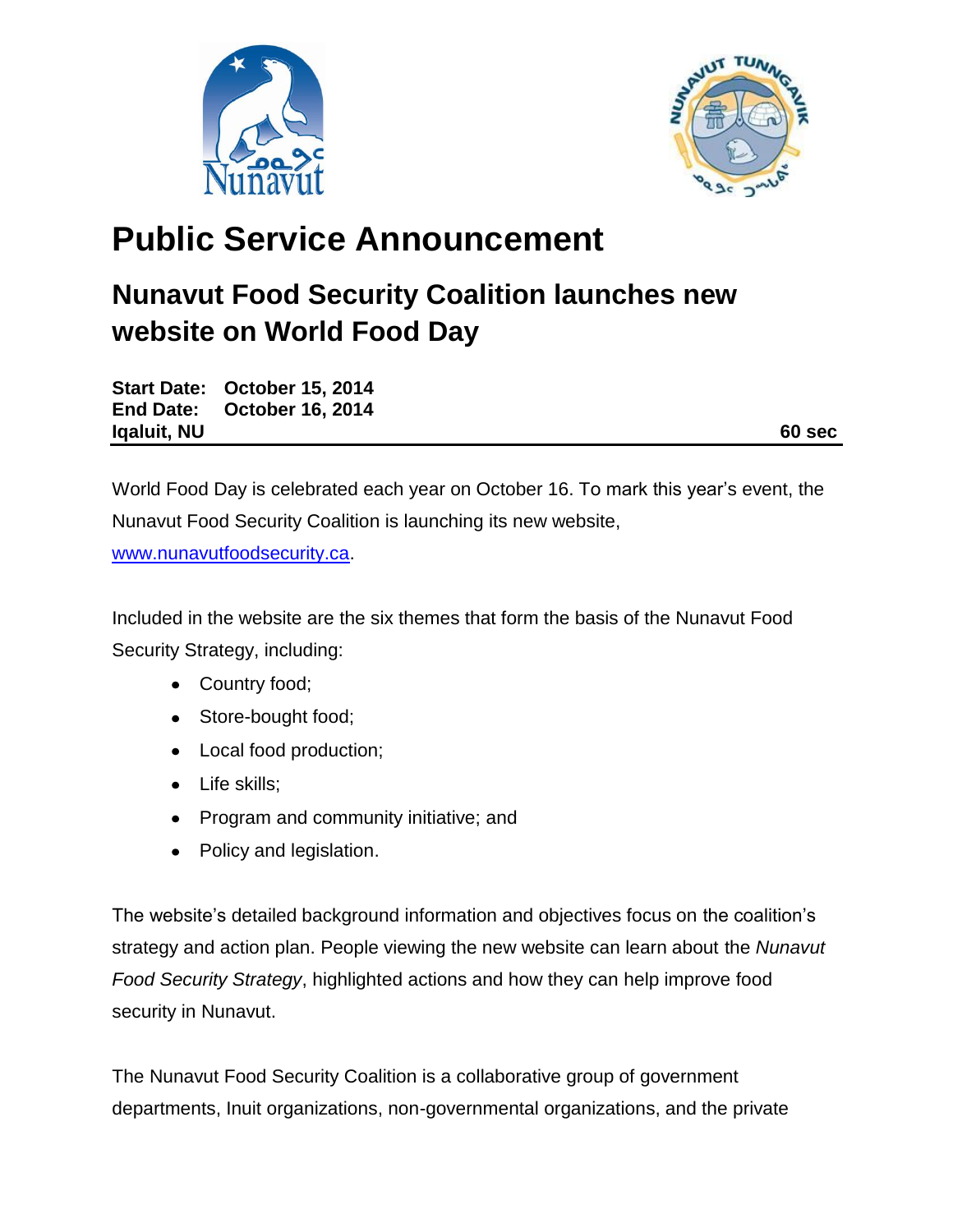



## **Public Service Announcement**

## **Nunavut Food Security Coalition launches new website on World Food Day**

**Start Date: October 15, 2014 End Date: October 16, 2014 Iqaluit, NU** 60 sec

World Food Day is celebrated each year on October 16. To mark this year's event, the Nunavut Food Security Coalition is launching its new website,

[www.nunavutfoodsecurity.ca.](http://www.nunavutfoodsecurity.ca/)

Included in the website are the six themes that form the basis of the Nunavut Food Security Strategy, including:

- Country food;
- Store-bought food;
- Local food production;
- Life skills;
- Program and community initiative; and
- Policy and legislation.

The website's detailed background information and objectives focus on the coalition's strategy and action plan. People viewing the new website can learn about the *Nunavut Food Security Strategy*, highlighted actions and how they can help improve food security in Nunavut.

The Nunavut Food Security Coalition is a collaborative group of government departments, Inuit organizations, non-governmental organizations, and the private